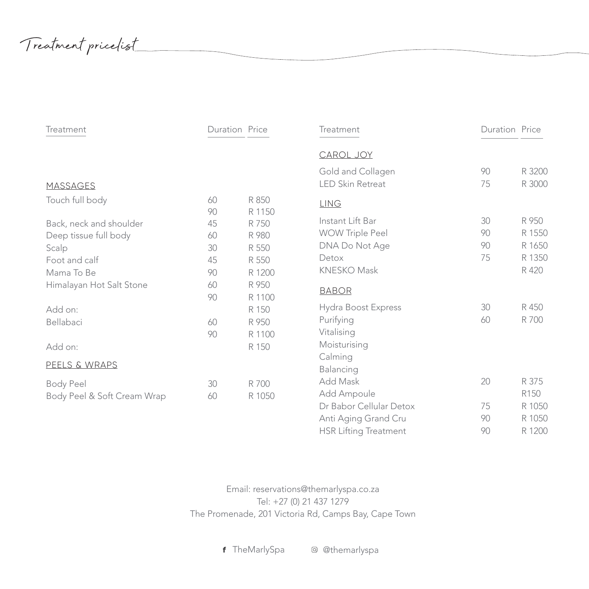Treatment pricelist

| Treatment                   | Duration Price |                 | Treatment               | Duration Price |        |
|-----------------------------|----------------|-----------------|-------------------------|----------------|--------|
|                             |                |                 | CAROL JOY               |                |        |
|                             |                |                 | Gold and Collagen       | 90             | R 3200 |
| <b>MASSAGES</b>             |                |                 | <b>LED Skin Retreat</b> | 75             | R 3000 |
| Touch full body             | 60<br>90       | R 850<br>R 1150 | <b>LING</b>             |                |        |
| Back, neck and shoulder     | 45             | R 750           | Instant Lift Bar        | 30             | R 950  |
| Deep tissue full body       | 60             | R 980           | <b>WOW Triple Peel</b>  | 90             | R 1550 |
| Scalp                       | 30             | R 550           | DNA Do Not Age          | 90             | R 1650 |
| Foot and calf               | 45             | R 550           | Detox                   | 75             | R 1350 |
| Mama To Be                  | 90             | R 1200          | <b>KNESKO Mask</b>      |                | R 420  |
| Himalayan Hot Salt Stone    | 60             | R 950           | <b>BABOR</b>            |                |        |
|                             | 90             | R 1100          |                         |                |        |
| Add on:                     |                | R 150           | Hydra Boost Express     | 30             | R 450  |
| Bellabaci                   | 60             | R 950           | Purifying               | 60             | R 700  |
|                             | 90             | R 1100          | Vitalising              |                |        |
| Add on:                     |                | R 150           | Moisturising            |                |        |
| PEELS & WRAPS               |                |                 | Calming                 |                |        |
|                             |                |                 | Balancing               |                |        |
| Body Peel                   | 30             | R 700           | Add Mask                | 20             | R 375  |
| Body Peel & Soft Cream Wrap | 60             | R 1050          | Add Ampoule             |                | R150   |
|                             |                |                 | Dr Babor Cellular Detox | 75             | R 1050 |
|                             |                |                 | Anti Aging Grand Cru    | 90             | R 1050 |

Email: reservations@themarlyspa.co.za Tel: +27 (0) 21 437 1279 The Promenade, 201 Victoria Rd, Camps Bay, Cape Town

HSR Lifting Treatment 90 R 1200

f TheMarlySpa @ @themarlyspa